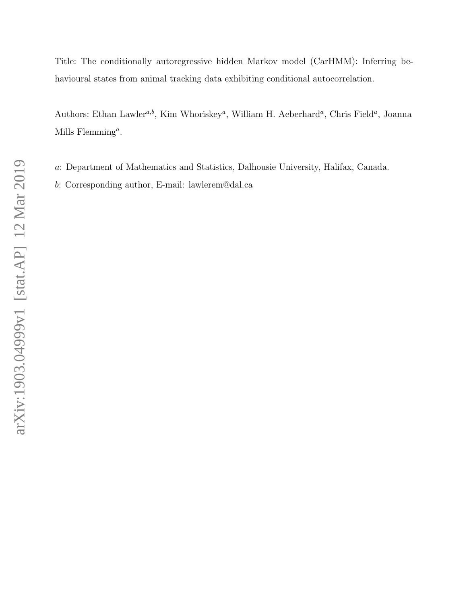Title: The conditionally autoregressive hidden Markov model (CarHMM): Inferring behavioural states from animal tracking data exhibiting conditional autocorrelation.

Authors: Ethan Lawler<sup>a,b</sup>, Kim Whoriskey<sup>a</sup>, William H. Aeberhard<sup>a</sup>, Chris Field<sup>a</sup>, Joanna Mills  $\text{Flemming}^a$ .

- a: Department of Mathematics and Statistics, Dalhousie University, Halifax, Canada.
- b: Corresponding author, E-mail: lawlerem@dal.ca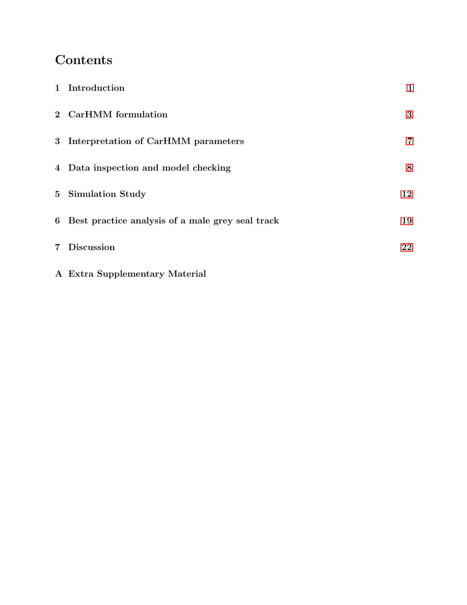# Contents

| 1 Introduction                                     | $\mathbf{1}$   |
|----------------------------------------------------|----------------|
| 2 CarHMM formulation                               | 3              |
| 3 Interpretation of CarHMM parameters              | $\overline{7}$ |
| 4 Data inspection and model checking               | 8              |
| 5 Simulation Study                                 | 12             |
| 6 Best practice analysis of a male grey seal track | 19             |
| 7 Discussion                                       | 22             |
|                                                    |                |

A Extra Supplementary Material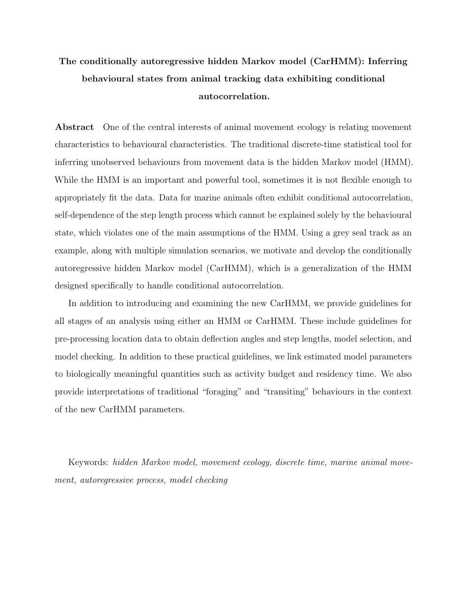## The conditionally autoregressive hidden Markov model (CarHMM): Inferring behavioural states from animal tracking data exhibiting conditional autocorrelation.

Abstract One of the central interests of animal movement ecology is relating movement characteristics to behavioural characteristics. The traditional discrete-time statistical tool for inferring unobserved behaviours from movement data is the hidden Markov model (HMM). While the HMM is an important and powerful tool, sometimes it is not flexible enough to appropriately fit the data. Data for marine animals often exhibit conditional autocorrelation, self-dependence of the step length process which cannot be explained solely by the behavioural state, which violates one of the main assumptions of the HMM. Using a grey seal track as an example, along with multiple simulation scenarios, we motivate and develop the conditionally autoregressive hidden Markov model (CarHMM), which is a generalization of the HMM designed specifically to handle conditional autocorrelation.

In addition to introducing and examining the new CarHMM, we provide guidelines for all stages of an analysis using either an HMM or CarHMM. These include guidelines for pre-processing location data to obtain deflection angles and step lengths, model selection, and model checking. In addition to these practical guidelines, we link estimated model parameters to biologically meaningful quantities such as activity budget and residency time. We also provide interpretations of traditional "foraging" and "transiting" behaviours in the context of the new CarHMM parameters.

Keywords: hidden Markov model, movement ecology, discrete time, marine animal movement, autoregressive process, model checking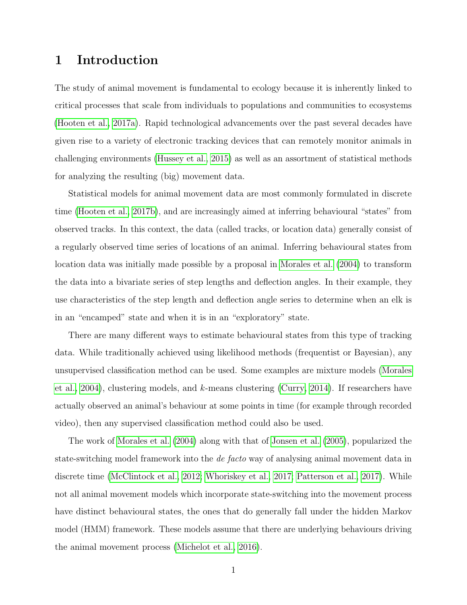### <span id="page-3-0"></span>1 Introduction

The study of animal movement is fundamental to ecology because it is inherently linked to critical processes that scale from individuals to populations and communities to ecosystems [\(Hooten et al., 2017a\)](#page-26-0). Rapid technological advancements over the past several decades have given rise to a variety of electronic tracking devices that can remotely monitor animals in challenging environments [\(Hussey et al., 2015\)](#page-26-1) as well as an assortment of statistical methods for analyzing the resulting (big) movement data.

Statistical models for animal movement data are most commonly formulated in discrete time [\(Hooten et al., 2017b\)](#page-26-2), and are increasingly aimed at inferring behavioural "states" from observed tracks. In this context, the data (called tracks, or location data) generally consist of a regularly observed time series of locations of an animal. Inferring behavioural states from location data was initially made possible by a proposal in [Morales et al. \(2004\)](#page-27-0) to transform the data into a bivariate series of step lengths and deflection angles. In their example, they use characteristics of the step length and deflection angle series to determine when an elk is in an "encamped" state and when it is in an "exploratory" state.

There are many different ways to estimate behavioural states from this type of tracking data. While traditionally achieved using likelihood methods (frequentist or Bayesian), any unsupervised classification method can be used. Some examples are mixture models [\(Morales](#page-27-0) [et al., 2004\)](#page-27-0), clustering models, and  $k$ -means clustering [\(Curry, 2014\)](#page-25-0). If researchers have actually observed an animal's behaviour at some points in time (for example through recorded video), then any supervised classification method could also be used.

The work of [Morales et al. \(2004\)](#page-27-0) along with that of [Jonsen et al. \(2005\)](#page-26-3), popularized the state-switching model framework into the de facto way of analysing animal movement data in discrete time [\(McClintock et al., 2012;](#page-27-1) [Whoriskey et al., 2017;](#page-28-0) [Patterson et al., 2017\)](#page-27-2). While not all animal movement models which incorporate state-switching into the movement process have distinct behavioural states, the ones that do generally fall under the hidden Markov model (HMM) framework. These models assume that there are underlying behaviours driving the animal movement process [\(Michelot et al., 2016\)](#page-27-3).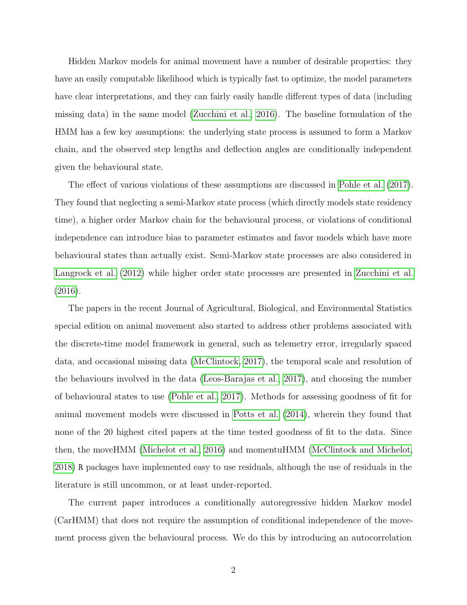Hidden Markov models for animal movement have a number of desirable properties: they have an easily computable likelihood which is typically fast to optimize, the model parameters have clear interpretations, and they can fairly easily handle different types of data (including missing data) in the same model [\(Zucchini et al., 2016\)](#page-28-1). The baseline formulation of the HMM has a few key assumptions: the underlying state process is assumed to form a Markov chain, and the observed step lengths and deflection angles are conditionally independent given the behavioural state.

The effect of various violations of these assumptions are discussed in [Pohle et al. \(2017\)](#page-27-4). They found that neglecting a semi-Markov state process (which directly models state residency time), a higher order Markov chain for the behavioural process, or violations of conditional independence can introduce bias to parameter estimates and favor models which have more behavioural states than actually exist. Semi-Markov state processes are also considered in [Langrock et al. \(2012\)](#page-26-4) while higher order state processes are presented in [Zucchini et al.](#page-28-1) [\(2016\)](#page-28-1).

The papers in the recent Journal of Agricultural, Biological, and Environmental Statistics special edition on animal movement also started to address other problems associated with the discrete-time model framework in general, such as telemetry error, irregularly spaced data, and occasional missing data [\(McClintock, 2017\)](#page-27-5), the temporal scale and resolution of the behaviours involved in the data [\(Leos-Barajas et al., 2017\)](#page-26-5), and choosing the number of behavioural states to use [\(Pohle et al., 2017\)](#page-27-4). Methods for assessing goodness of fit for animal movement models were discussed in [Potts et al. \(2014\)](#page-27-6), wherein they found that none of the 20 highest cited papers at the time tested goodness of fit to the data. Since then, the moveHMM [\(Michelot et al., 2016\)](#page-27-3) and momentuHMM [\(McClintock and Michelot,](#page-27-7) [2018\)](#page-27-7) R packages have implemented easy to use residuals, although the use of residuals in the literature is still uncommon, or at least under-reported.

The current paper introduces a conditionally autoregressive hidden Markov model (CarHMM) that does not require the assumption of conditional independence of the movement process given the behavioural process. We do this by introducing an autocorrelation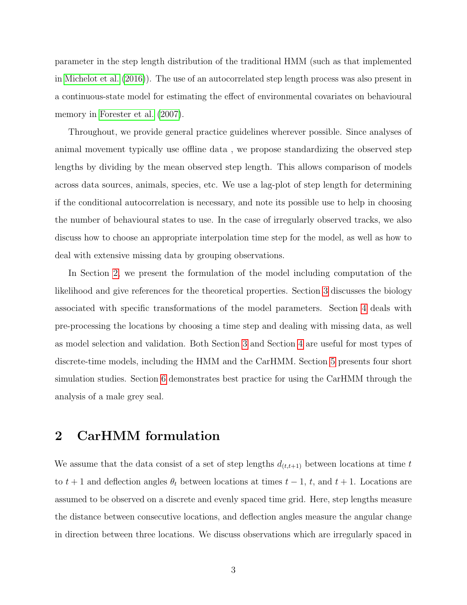parameter in the step length distribution of the traditional HMM (such as that implemented in [Michelot et al. \(2016\)](#page-27-3)). The use of an autocorrelated step length process was also present in a continuous-state model for estimating the effect of environmental covariates on behavioural memory in [Forester et al. \(2007\)](#page-26-6).

Throughout, we provide general practice guidelines wherever possible. Since analyses of animal movement typically use offline data , we propose standardizing the observed step lengths by dividing by the mean observed step length. This allows comparison of models across data sources, animals, species, etc. We use a lag-plot of step length for determining if the conditional autocorrelation is necessary, and note its possible use to help in choosing the number of behavioural states to use. In the case of irregularly observed tracks, we also discuss how to choose an appropriate interpolation time step for the model, as well as how to deal with extensive missing data by grouping observations.

In Section [2,](#page-5-0) we present the formulation of the model including computation of the likelihood and give references for the theoretical properties. Section [3](#page-9-0) discusses the biology associated with specific transformations of the model parameters. Section [4](#page-10-0) deals with pre-processing the locations by choosing a time step and dealing with missing data, as well as model selection and validation. Both Section [3](#page-9-0) and Section [4](#page-10-0) are useful for most types of discrete-time models, including the HMM and the CarHMM. Section [5](#page-14-0) presents four short simulation studies. Section [6](#page-21-0) demonstrates best practice for using the CarHMM through the analysis of a male grey seal.

## <span id="page-5-0"></span>2 CarHMM formulation

We assume that the data consist of a set of step lengths  $d_{(t,t+1)}$  between locations at time t to  $t + 1$  and deflection angles  $\theta_t$  between locations at times  $t - 1$ , t, and  $t + 1$ . Locations are assumed to be observed on a discrete and evenly spaced time grid. Here, step lengths measure the distance between consecutive locations, and deflection angles measure the angular change in direction between three locations. We discuss observations which are irregularly spaced in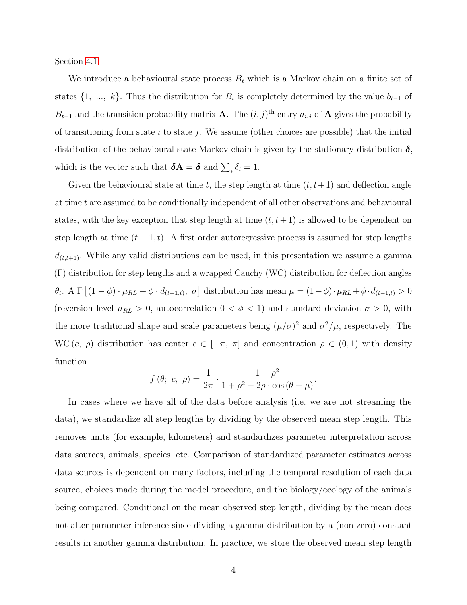Section [4.1.](#page-10-1)

We introduce a behavioural state process  $B_t$  which is a Markov chain on a finite set of states  $\{1, ..., k\}$ . Thus the distribution for  $B_t$  is completely determined by the value  $b_{t-1}$  of  $B_{t-1}$  and the transition probability matrix **A**. The  $(i, j)$ <sup>th</sup> entry  $a_{i,j}$  of **A** gives the probability of transitioning from state i to state j. We assume (other choices are possible) that the initial distribution of the behavioural state Markov chain is given by the stationary distribution  $\delta$ , which is the vector such that  $\boldsymbol{\delta} \mathbf{A} = \boldsymbol{\delta}$  and  $\sum_i \delta_i = 1$ .

Given the behavioural state at time t, the step length at time  $(t, t+1)$  and deflection angle at time t are assumed to be conditionally independent of all other observations and behavioural states, with the key exception that step length at time  $(t, t + 1)$  is allowed to be dependent on step length at time  $(t - 1, t)$ . A first order autoregressive process is assumed for step lengths  $d_{(t,t+1)}$ . While any valid distributions can be used, in this presentation we assume a gamma (Γ) distribution for step lengths and a wrapped Cauchy (WC) distribution for deflection angles  $\theta_t$ . A  $\Gamma\left[(1-\phi)\cdot\mu_{RL}+\phi\cdot d_{(t-1,t)},\ \sigma\right]$  distribution has mean  $\mu=(1-\phi)\cdot\mu_{RL}+\phi\cdot d_{(t-1,t)}>0$ (reversion level  $\mu_{RL} > 0$ , autocorrelation  $0 < \phi < 1$ ) and standard deviation  $\sigma > 0$ , with the more traditional shape and scale parameters being  $(\mu/\sigma)^2$  and  $\sigma^2/\mu$ , respectively. The WC  $(c, \rho)$  distribution has center  $c \in [-\pi, \pi]$  and concentration  $\rho \in (0, 1)$  with density function

$$
f(\theta; c, \rho) = \frac{1}{2\pi} \cdot \frac{1 - \rho^2}{1 + \rho^2 - 2\rho \cdot \cos(\theta - \mu)}
$$
.

In cases where we have all of the data before analysis (i.e. we are not streaming the data), we standardize all step lengths by dividing by the observed mean step length. This removes units (for example, kilometers) and standardizes parameter interpretation across data sources, animals, species, etc. Comparison of standardized parameter estimates across data sources is dependent on many factors, including the temporal resolution of each data source, choices made during the model procedure, and the biology/ecology of the animals being compared. Conditional on the mean observed step length, dividing by the mean does not alter parameter inference since dividing a gamma distribution by a (non-zero) constant results in another gamma distribution. In practice, we store the observed mean step length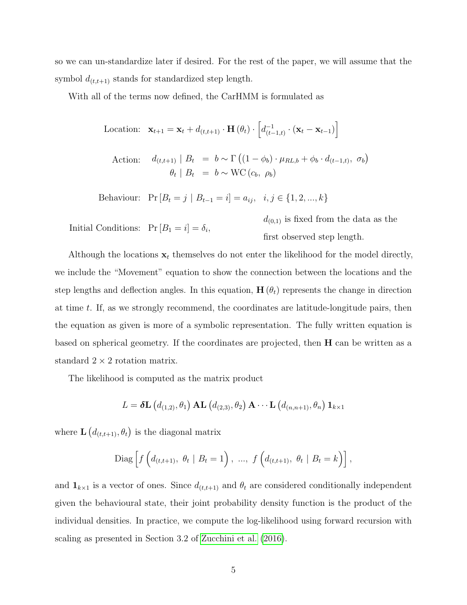so we can un-standardize later if desired. For the rest of the paper, we will assume that the symbol  $d_{(t,t+1)}$  stands for standardized step length.

With all of the terms now defined, the CarHMM is formulated as

Location: 
$$
\mathbf{x}_{t+1} = \mathbf{x}_t + d_{(t,t+1)} \cdot \mathbf{H}(\theta_t) \cdot \left[ d_{(t-1,t)}^{-1} \cdot (\mathbf{x}_t - \mathbf{x}_{t-1}) \right]
$$
  
\nAction:  $d_{(t,t+1)} | B_t = b \sim \Gamma((1 - \phi_b) \cdot \mu_{RL,b} + \phi_b \cdot d_{(t-1,t)}, \sigma_b)$   
\n $\theta_t | B_t = b \sim \text{WC}(c_b, \rho_b)$ 

Behaviour:  $Pr[B_t = j | B_{t-1} = i] = a_{ij}, i, j \in \{1, 2, ..., k\}$ 

Initial Conditions:  $Pr[B_1 = i] = \delta_i$ ,

 $d_{(0,1)}$  is fixed from the data as the first observed step length.

Although the locations  $x_t$  themselves do not enter the likelihood for the model directly, we include the "Movement" equation to show the connection between the locations and the step lengths and deflection angles. In this equation,  $H(\theta_t)$  represents the change in direction at time t. If, as we strongly recommend, the coordinates are latitude-longitude pairs, then the equation as given is more of a symbolic representation. The fully written equation is based on spherical geometry. If the coordinates are projected, then  $H$  can be written as a standard  $2 \times 2$  rotation matrix.

The likelihood is computed as the matrix product

$$
L = \delta \mathbf{L} \left( d_{(1,2)}, \theta_1 \right) \mathbf{AL} \left( d_{(2,3)}, \theta_2 \right) \mathbf{A} \cdots \mathbf{L} \left( d_{(n,n+1)}, \theta_n \right) \mathbf{1}_{k \times 1}
$$

where  $\mathbf{L}\left(d_{(t,t+1)}, \theta_t\right)$  is the diagonal matrix

Diag 
$$
\left[f\left(d_{(t,t+1)}, \theta_t | B_t = 1\right), \dots, f\left(d_{(t,t+1)}, \theta_t | B_t = k\right)\right]
$$
,

and  $\mathbf{1}_{k\times1}$  is a vector of ones. Since  $d_{(t,t+1)}$  and  $\theta_t$  are considered conditionally independent given the behavioural state, their joint probability density function is the product of the individual densities. In practice, we compute the log-likelihood using forward recursion with scaling as presented in Section 3.2 of [Zucchini et al. \(2016\)](#page-28-1).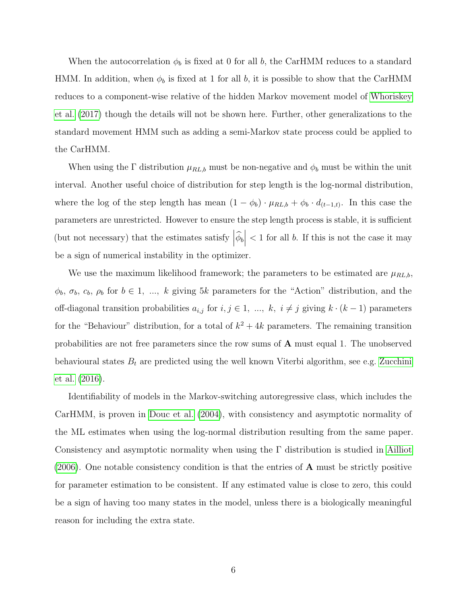When the autocorrelation  $\phi_b$  is fixed at 0 for all b, the CarHMM reduces to a standard HMM. In addition, when  $\phi_b$  is fixed at 1 for all b, it is possible to show that the CarHMM reduces to a component-wise relative of the hidden Markov movement model of [Whoriskey](#page-28-0) [et al. \(2017\)](#page-28-0) though the details will not be shown here. Further, other generalizations to the standard movement HMM such as adding a semi-Markov state process could be applied to the CarHMM.

When using the  $\Gamma$  distribution  $\mu_{RL,b}$  must be non-negative and  $\phi_b$  must be within the unit interval. Another useful choice of distribution for step length is the log-normal distribution, where the log of the step length has mean  $(1 - \phi_b) \cdot \mu_{RL,b} + \phi_b \cdot d_{(t-1,t)}$ . In this case the parameters are unrestricted. However to ensure the step length process is stable, it is sufficient (but not necessary) that the estimates satisfy  $\left|\widehat{\phi}_b\right|$  $<$  1 for all b. If this is not the case it may be a sign of numerical instability in the optimizer.

We use the maximum likelihood framework; the parameters to be estimated are  $\mu_{RL,b}$ ,  $\phi_b$ ,  $\sigma_b$ ,  $c_b$ ,  $\rho_b$  for  $b \in 1, ..., k$  giving 5k parameters for the "Action" distribution, and the off-diagonal transition probabilities  $a_{i,j}$  for  $i, j \in 1, ..., k$ ,  $i \neq j$  giving  $k \cdot (k-1)$  parameters for the "Behaviour" distribution, for a total of  $k^2 + 4k$  parameters. The remaining transition probabilities are not free parameters since the row sums of A must equal 1. The unobserved behavioural states  $B_t$  are predicted using the well known Viterbi algorithm, see e.g. [Zucchini](#page-28-1) [et al. \(2016\)](#page-28-1).

Identifiability of models in the Markov-switching autoregressive class, which includes the CarHMM, is proven in [Douc et al. \(2004\)](#page-26-7), with consistency and asymptotic normality of the ML estimates when using the log-normal distribution resulting from the same paper. Consistency and asymptotic normality when using the Γ distribution is studied in [Ailliot](#page-25-1)  $(2006)$ . One notable consistency condition is that the entries of **A** must be strictly positive for parameter estimation to be consistent. If any estimated value is close to zero, this could be a sign of having too many states in the model, unless there is a biologically meaningful reason for including the extra state.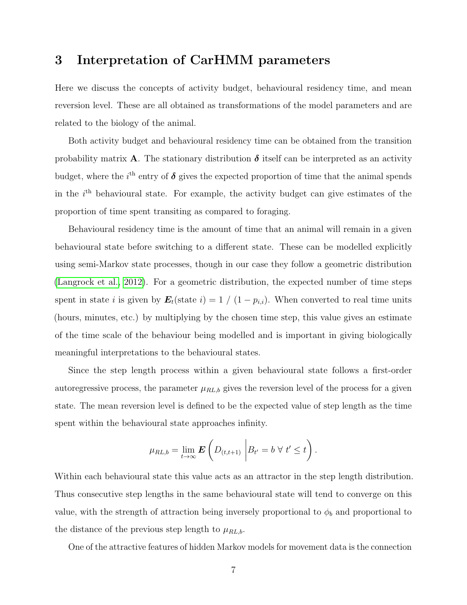### <span id="page-9-0"></span>3 Interpretation of CarHMM parameters

Here we discuss the concepts of activity budget, behavioural residency time, and mean reversion level. These are all obtained as transformations of the model parameters and are related to the biology of the animal.

Both activity budget and behavioural residency time can be obtained from the transition probability matrix A. The stationary distribution  $\delta$  itself can be interpreted as an activity budget, where the  $i<sup>th</sup>$  entry of  $\delta$  gives the expected proportion of time that the animal spends in the  $i<sup>th</sup>$  behavioural state. For example, the activity budget can give estimates of the proportion of time spent transiting as compared to foraging.

Behavioural residency time is the amount of time that an animal will remain in a given behavioural state before switching to a different state. These can be modelled explicitly using semi-Markov state processes, though in our case they follow a geometric distribution [\(Langrock et al., 2012\)](#page-26-4). For a geometric distribution, the expected number of time steps spent in state i is given by  $E_t(\text{state } i) = 1 / (1 - p_{i,i})$ . When converted to real time units (hours, minutes, etc.) by multiplying by the chosen time step, this value gives an estimate of the time scale of the behaviour being modelled and is important in giving biologically meaningful interpretations to the behavioural states.

Since the step length process within a given behavioural state follows a first-order autoregressive process, the parameter  $\mu_{RL,b}$  gives the reversion level of the process for a given state. The mean reversion level is defined to be the expected value of step length as the time spent within the behavioural state approaches infinity.

$$
\mu_{RL,b} = \lim_{t \to \infty} \mathbf{E} \left( D_{(t,t+1)} \middle| B_{t'} = b \,\,\forall \,\, t' \leq t \right).
$$

Within each behavioural state this value acts as an attractor in the step length distribution. Thus consecutive step lengths in the same behavioural state will tend to converge on this value, with the strength of attraction being inversely proportional to  $\phi_b$  and proportional to the distance of the previous step length to  $\mu_{RL,b}$ .

One of the attractive features of hidden Markov models for movement data is the connection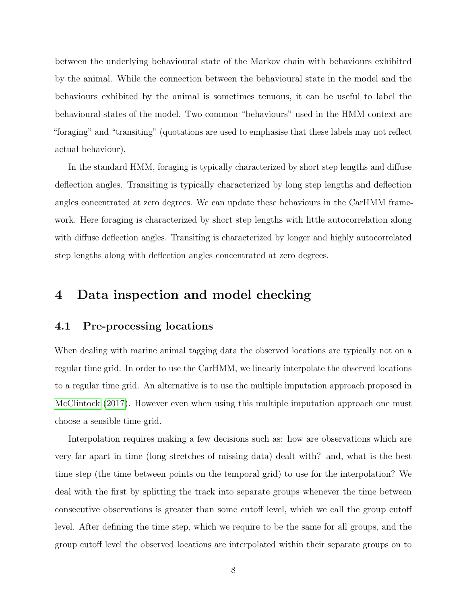between the underlying behavioural state of the Markov chain with behaviours exhibited by the animal. While the connection between the behavioural state in the model and the behaviours exhibited by the animal is sometimes tenuous, it can be useful to label the behavioural states of the model. Two common "behaviours" used in the HMM context are "foraging" and "transiting" (quotations are used to emphasise that these labels may not reflect actual behaviour).

In the standard HMM, foraging is typically characterized by short step lengths and diffuse deflection angles. Transiting is typically characterized by long step lengths and deflection angles concentrated at zero degrees. We can update these behaviours in the CarHMM framework. Here foraging is characterized by short step lengths with little autocorrelation along with diffuse deflection angles. Transiting is characterized by longer and highly autocorrelated step lengths along with deflection angles concentrated at zero degrees.

### <span id="page-10-0"></span>4 Data inspection and model checking

#### <span id="page-10-1"></span>4.1 Pre-processing locations

When dealing with marine animal tagging data the observed locations are typically not on a regular time grid. In order to use the CarHMM, we linearly interpolate the observed locations to a regular time grid. An alternative is to use the multiple imputation approach proposed in [McClintock \(2017\)](#page-27-5). However even when using this multiple imputation approach one must choose a sensible time grid.

Interpolation requires making a few decisions such as: how are observations which are very far apart in time (long stretches of missing data) dealt with? and, what is the best time step (the time between points on the temporal grid) to use for the interpolation? We deal with the first by splitting the track into separate groups whenever the time between consecutive observations is greater than some cutoff level, which we call the group cutoff level. After defining the time step, which we require to be the same for all groups, and the group cutoff level the observed locations are interpolated within their separate groups on to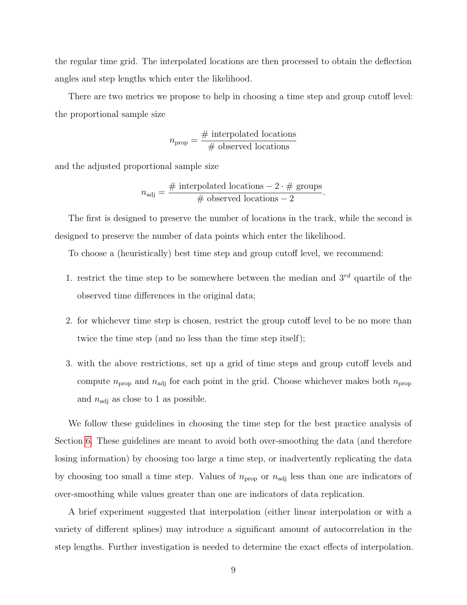the regular time grid. The interpolated locations are then processed to obtain the deflection angles and step lengths which enter the likelihood.

There are two metrics we propose to help in choosing a time step and group cutoff level: the proportional sample size

$$
n_{\text{prop}} = \frac{\text{\# interpolated locations}}{\text{\# observed locations}}
$$

and the adjusted proportional sample size

$$
n_{\text{adj}} = \frac{\text{\# interpolated locations}}{\text{\# observed locations}} - 2.
$$

The first is designed to preserve the number of locations in the track, while the second is designed to preserve the number of data points which enter the likelihood.

To choose a (heuristically) best time step and group cutoff level, we recommend:

- 1. restrict the time step to be somewhere between the median and  $3^{rd}$  quartile of the observed time differences in the original data;
- 2. for whichever time step is chosen, restrict the group cutoff level to be no more than twice the time step (and no less than the time step itself);
- 3. with the above restrictions, set up a grid of time steps and group cutoff levels and compute  $n_{\text{prop}}$  and  $n_{\text{adj}}$  for each point in the grid. Choose whichever makes both  $n_{\text{prop}}$ and  $n_{\text{adj}}$  as close to 1 as possible.

We follow these guidelines in choosing the time step for the best practice analysis of Section [6.](#page-21-0) These guidelines are meant to avoid both over-smoothing the data (and therefore losing information) by choosing too large a time step, or inadvertently replicating the data by choosing too small a time step. Values of  $n_{\text{prop}}$  or  $n_{\text{adj}}$  less than one are indicators of over-smoothing while values greater than one are indicators of data replication.

A brief experiment suggested that interpolation (either linear interpolation or with a variety of different splines) may introduce a significant amount of autocorrelation in the step lengths. Further investigation is needed to determine the exact effects of interpolation.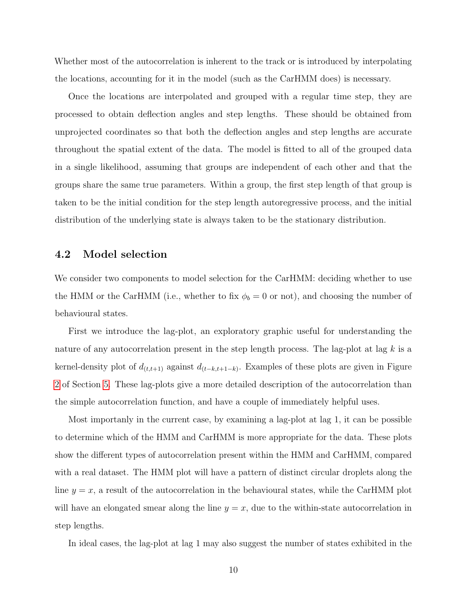Whether most of the autocorrelation is inherent to the track or is introduced by interpolating the locations, accounting for it in the model (such as the CarHMM does) is necessary.

Once the locations are interpolated and grouped with a regular time step, they are processed to obtain deflection angles and step lengths. These should be obtained from unprojected coordinates so that both the deflection angles and step lengths are accurate throughout the spatial extent of the data. The model is fitted to all of the grouped data in a single likelihood, assuming that groups are independent of each other and that the groups share the same true parameters. Within a group, the first step length of that group is taken to be the initial condition for the step length autoregressive process, and the initial distribution of the underlying state is always taken to be the stationary distribution.

#### 4.2 Model selection

We consider two components to model selection for the CarHMM: deciding whether to use the HMM or the CarHMM (i.e., whether to fix  $\phi_b = 0$  or not), and choosing the number of behavioural states.

First we introduce the lag-plot, an exploratory graphic useful for understanding the nature of any autocorrelation present in the step length process. The lag-plot at lag  $k$  is a kernel-density plot of  $d_{(t,t+1)}$  against  $d_{(t-k,t+1-k)}$ . Examples of these plots are given in Figure [2](#page-19-0) of Section [5.](#page-14-0) These lag-plots give a more detailed description of the autocorrelation than the simple autocorrelation function, and have a couple of immediately helpful uses.

Most importanly in the current case, by examining a lag-plot at lag 1, it can be possible to determine which of the HMM and CarHMM is more appropriate for the data. These plots show the different types of autocorrelation present within the HMM and CarHMM, compared with a real dataset. The HMM plot will have a pattern of distinct circular droplets along the line  $y = x$ , a result of the autocorrelation in the behavioural states, while the CarHMM plot will have an elongated smear along the line  $y = x$ , due to the within-state autocorrelation in step lengths.

In ideal cases, the lag-plot at lag 1 may also suggest the number of states exhibited in the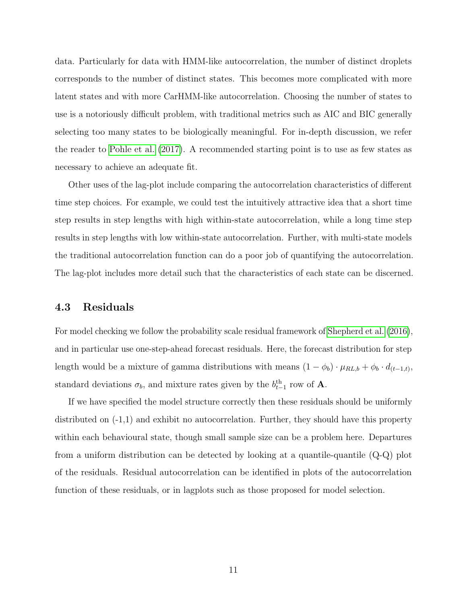data. Particularly for data with HMM-like autocorrelation, the number of distinct droplets corresponds to the number of distinct states. This becomes more complicated with more latent states and with more CarHMM-like autocorrelation. Choosing the number of states to use is a notoriously difficult problem, with traditional metrics such as AIC and BIC generally selecting too many states to be biologically meaningful. For in-depth discussion, we refer the reader to [Pohle et al. \(2017\)](#page-27-4). A recommended starting point is to use as few states as necessary to achieve an adequate fit.

Other uses of the lag-plot include comparing the autocorrelation characteristics of different time step choices. For example, we could test the intuitively attractive idea that a short time step results in step lengths with high within-state autocorrelation, while a long time step results in step lengths with low within-state autocorrelation. Further, with multi-state models the traditional autocorrelation function can do a poor job of quantifying the autocorrelation. The lag-plot includes more detail such that the characteristics of each state can be discerned.

#### 4.3 Residuals

For model checking we follow the probability scale residual framework of [Shepherd et al. \(2016\)](#page-28-2), and in particular use one-step-ahead forecast residuals. Here, the forecast distribution for step length would be a mixture of gamma distributions with means  $(1 - \phi_b) \cdot \mu_{RL,b} + \phi_b \cdot d_{(t-1,t)}$ , standard deviations  $\sigma_b$ , and mixture rates given by the  $b_{t-1}^{\text{th}}$  row of **A**.

If we have specified the model structure correctly then these residuals should be uniformly distributed on (-1,1) and exhibit no autocorrelation. Further, they should have this property within each behavioural state, though small sample size can be a problem here. Departures from a uniform distribution can be detected by looking at a quantile-quantile (Q-Q) plot of the residuals. Residual autocorrelation can be identified in plots of the autocorrelation function of these residuals, or in lagplots such as those proposed for model selection.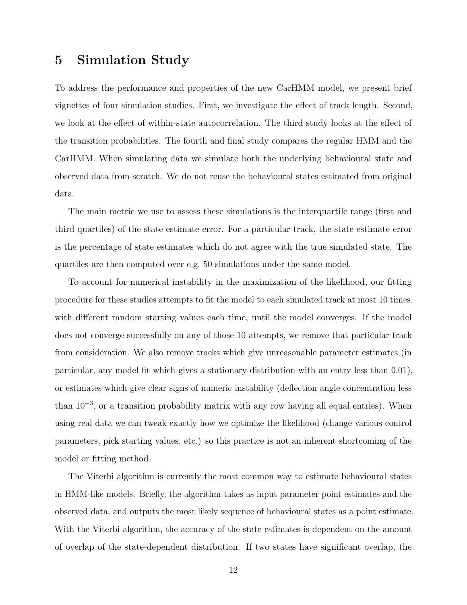### <span id="page-14-0"></span>5 Simulation Study

To address the performance and properties of the new CarHMM model, we present brief vignettes of four simulation studies. First, we investigate the effect of track length. Second, we look at the effect of within-state autocorrelation. The third study looks at the effect of the transition probabilities. The fourth and final study compares the regular HMM and the CarHMM. When simulating data we simulate both the underlying behavioural state and observed data from scratch. We do not reuse the behavioural states estimated from original data.

The main metric we use to assess these simulations is the interquartile range (first and third quartiles) of the state estimate error. For a particular track, the state estimate error is the percentage of state estimates which do not agree with the true simulated state. The quartiles are then computed over e.g. 50 simulations under the same model.

To account for numerical instability in the maximization of the likelihood, our fitting procedure for these studies attempts to fit the model to each simulated track at most 10 times, with different random starting values each time, until the model converges. If the model does not converge successfully on any of those 10 attempts, we remove that particular track from consideration. We also remove tracks which give unreasonable parameter estimates (in particular, any model fit which gives a stationary distribution with an entry less than 0.01), or estimates which give clear signs of numeric instability (deflection angle concentration less than  $10^{-3}$ , or a transition probability matrix with any row having all equal entries). When using real data we can tweak exactly how we optimize the likelihood (change various control parameters, pick starting values, etc.) so this practice is not an inherent shortcoming of the model or fitting method.

The Viterbi algorithm is currently the most common way to estimate behavioural states in HMM-like models. Briefly, the algorithm takes as input parameter point estimates and the observed data, and outputs the most likely sequence of behavioural states as a point estimate. With the Viterbi algorithm, the accuracy of the state estimates is dependent on the amount of overlap of the state-dependent distribution. If two states have significant overlap, the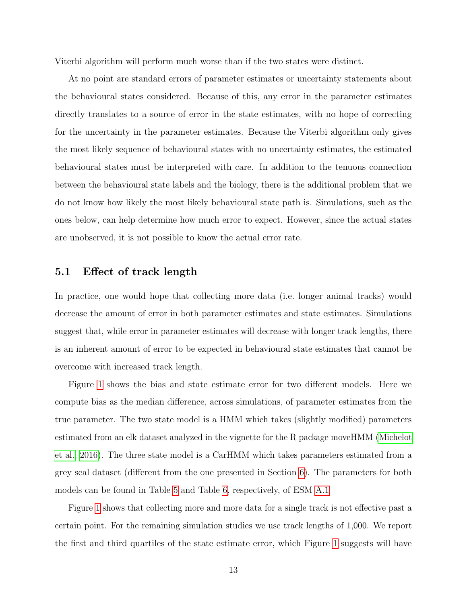Viterbi algorithm will perform much worse than if the two states were distinct.

At no point are standard errors of parameter estimates or uncertainty statements about the behavioural states considered. Because of this, any error in the parameter estimates directly translates to a source of error in the state estimates, with no hope of correcting for the uncertainty in the parameter estimates. Because the Viterbi algorithm only gives the most likely sequence of behavioural states with no uncertainty estimates, the estimated behavioural states must be interpreted with care. In addition to the tenuous connection between the behavioural state labels and the biology, there is the additional problem that we do not know how likely the most likely behavioural state path is. Simulations, such as the ones below, can help determine how much error to expect. However, since the actual states are unobserved, it is not possible to know the actual error rate.

#### <span id="page-15-0"></span>5.1 Effect of track length

In practice, one would hope that collecting more data (i.e. longer animal tracks) would decrease the amount of error in both parameter estimates and state estimates. Simulations suggest that, while error in parameter estimates will decrease with longer track lengths, there is an inherent amount of error to be expected in behavioural state estimates that cannot be overcome with increased track length.

Figure [1](#page-16-0) shows the bias and state estimate error for two different models. Here we compute bias as the median difference, across simulations, of parameter estimates from the true parameter. The two state model is a HMM which takes (slightly modified) parameters estimated from an elk dataset analyzed in the vignette for the R package moveHMM [\(Michelot](#page-27-3) [et al., 2016\)](#page-27-3). The three state model is a CarHMM which takes parameters estimated from a grey seal dataset (different from the one presented in Section [6\)](#page-21-0). The parameters for both models can be found in Table [5](#page-30-0) and Table [6,](#page-30-1) respectively, of ESM [A.1](#page-29-0)

Figure [1](#page-16-0) shows that collecting more and more data for a single track is not effective past a certain point. For the remaining simulation studies we use track lengths of 1,000. We report the first and third quartiles of the state estimate error, which Figure [1](#page-16-0) suggests will have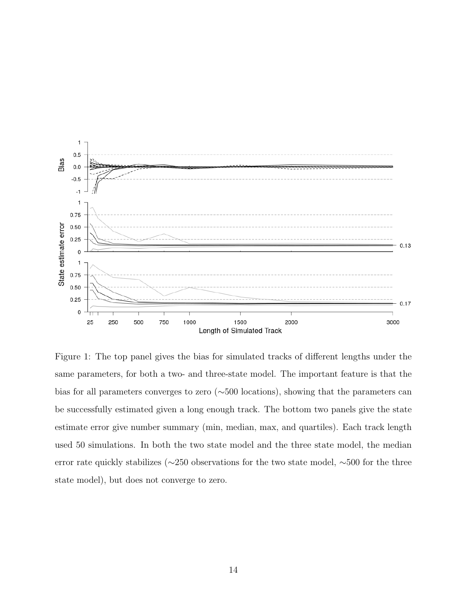

<span id="page-16-0"></span>Figure 1: The top panel gives the bias for simulated tracks of different lengths under the same parameters, for both a two- and three-state model. The important feature is that the bias for all parameters converges to zero (∼500 locations), showing that the parameters can be successfully estimated given a long enough track. The bottom two panels give the state estimate error give number summary (min, median, max, and quartiles). Each track length used 50 simulations. In both the two state model and the three state model, the median error rate quickly stabilizes (∼250 observations for the two state model, ∼500 for the three state model), but does not converge to zero.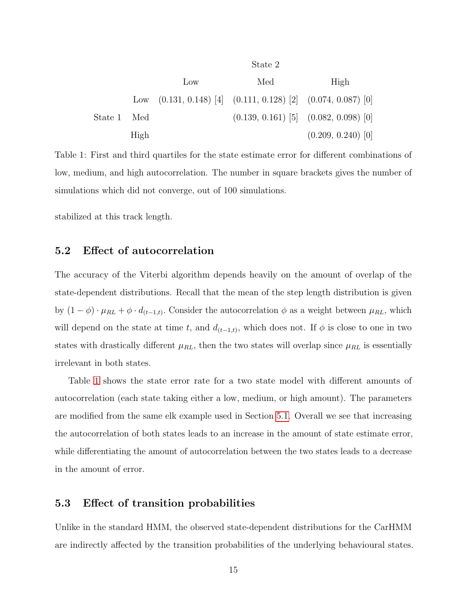|             |                 |     | State 2                                                        |                                           |
|-------------|-----------------|-----|----------------------------------------------------------------|-------------------------------------------|
|             |                 | Low | Med                                                            | High                                      |
|             | $_{\text{Low}}$ |     | $(0.131, 0.148)$ [4] $(0.111, 0.128)$ [2] $(0.074, 0.087)$ [0] |                                           |
| State 1 Med |                 |     |                                                                | $(0.139, 0.161)$ [5] $(0.082, 0.098)$ [0] |
|             | High            |     |                                                                | $(0.209, 0.240)$ [0]                      |

<span id="page-17-0"></span>Table 1: First and third quartiles for the state estimate error for different combinations of low, medium, and high autocorrelation. The number in square brackets gives the number of simulations which did not converge, out of 100 simulations.

stabilized at this track length.

#### <span id="page-17-1"></span>5.2 Effect of autocorrelation

The accuracy of the Viterbi algorithm depends heavily on the amount of overlap of the state-dependent distributions. Recall that the mean of the step length distribution is given by  $(1 - \phi) \cdot \mu_{RL} + \phi \cdot d_{(t-1,t)}$ . Consider the autocorrelation  $\phi$  as a weight between  $\mu_{RL}$ , which will depend on the state at time t, and  $d_{(t-1,t)}$ , which does not. If  $\phi$  is close to one in two states with drastically different  $\mu_{RL}$ , then the two states will overlap since  $\mu_{RL}$  is essentially irrelevant in both states.

Table [1](#page-17-0) shows the state error rate for a two state model with different amounts of autocorrelation (each state taking either a low, medium, or high amount). The parameters are modified from the same elk example used in Section [5.1.](#page-15-0) Overall we see that increasing the autocorrelation of both states leads to an increase in the amount of state estimate error, while differentiating the amount of autocorrelation between the two states leads to a decrease in the amount of error.

#### 5.3 Effect of transition probabilities

Unlike in the standard HMM, the observed state-dependent distributions for the CarHMM are indirectly affected by the transition probabilities of the underlying behavioural states.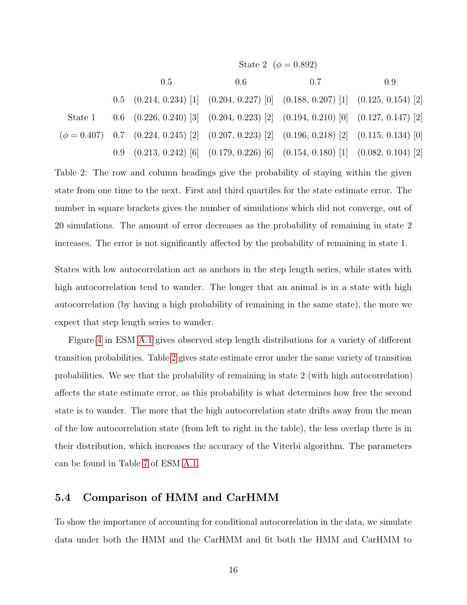|         | State 2 ( $\phi = 0.892$ ) |                                                                                                          |     |     |  |  |  |  |
|---------|----------------------------|----------------------------------------------------------------------------------------------------------|-----|-----|--|--|--|--|
|         | 0.5                        | 0.6                                                                                                      | 0.7 | 0.9 |  |  |  |  |
|         |                            | $0.5$ $(0.214, 0.234)$ [1] $(0.204, 0.227)$ [0] $(0.188, 0.207)$ [1] $(0.125, 0.154)$ [2]                |     |     |  |  |  |  |
| State 1 |                            | $0.6$ $(0.226, 0.240)$ [3] $(0.204, 0.223)$ [2] $(0.194, 0.210)$ [0] $(0.127, 0.147)$ [2]                |     |     |  |  |  |  |
|         |                            | $(\phi = 0.407)$ 0.7 $(0.224, 0.245)$ [2] $(0.207, 0.223)$ [2] $(0.196, 0.218)$ [2] $(0.115, 0.134)$ [0] |     |     |  |  |  |  |
|         |                            | $(0.213, 0.242)$ [6] $(0.179, 0.226)$ [6] $(0.154, 0.180)$ [1] $(0.082, 0.104)$ [2]                      |     |     |  |  |  |  |

<span id="page-18-0"></span>Table 2: The row and column headings give the probability of staying within the given state from one time to the next. First and third quartiles for the state estimate error. The number in square brackets gives the number of simulations which did not converge, out of 20 simulations. The amount of error decreases as the probability of remaining in state 2 increases. The error is not significantly affected by the probability of remaining in state 1.

States with low autocorrelation act as anchors in the step length series, while states with high autocorrelation tend to wander. The longer that an animal is in a state with high autocorrelation (by having a high probability of remaining in the same state), the more we expect that step length series to wander.

Figure [4](#page-29-1) in ESM [A.1](#page-29-0) gives observed step length distributions for a variety of different transition probabilities. Table [2](#page-18-0) gives state estimate error under the same variety of transition probabilities. We see that the probability of remaining in state 2 (with high autocorrelation) affects the state estimate error, as this probability is what determines how free the second state is to wander. The more that the high autocorrelation state drifts away from the mean of the low autocorrelation state (from left to right in the table), the less overlap there is in their distribution, which increases the accuracy of the Viterbi algorithm. The parameters can be found in Table [7](#page-30-2) of ESM [A.1.](#page-29-0)

#### 5.4 Comparison of HMM and CarHMM

To show the importance of accounting for conditional autocorrelation in the data, we simulate data under both the HMM and the CarHMM and fit both the HMM and CarHMM to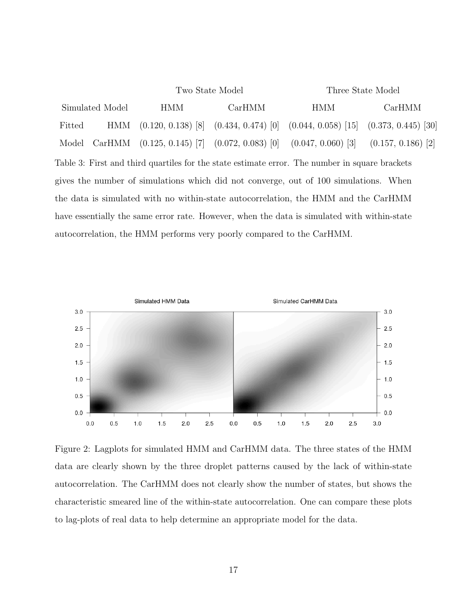<span id="page-19-1"></span>

|                                                                                             |        | Two State Model                           | Three State Model                         |                                                                                                |                      |  |  |  |  |
|---------------------------------------------------------------------------------------------|--------|-------------------------------------------|-------------------------------------------|------------------------------------------------------------------------------------------------|----------------------|--|--|--|--|
| Simulated Model                                                                             |        | HMM                                       | CarHMM                                    | <b>HMM</b>                                                                                     | CarHMM               |  |  |  |  |
| Fitted                                                                                      | HMM    |                                           | $(0.120, 0.138)$ [8] $(0.434, 0.474)$ [0] | $(0.044, 0.058)$ [15] $(0.373, 0.445)$ [30]                                                    |                      |  |  |  |  |
| Model                                                                                       | CarHMM | $(0.125, 0.145)$ [7] $(0.072, 0.083)$ [0] |                                           | $(0.047, 0.060)$ [3]                                                                           | $(0.157, 0.186)$ [2] |  |  |  |  |
|                                                                                             |        |                                           |                                           | Table 3: First and third quartiles for the state estimate error. The number in square brackets |                      |  |  |  |  |
| gives the number of simulations which did not converge, out of 100 simulations. When        |        |                                           |                                           |                                                                                                |                      |  |  |  |  |
| the data is simulated with no within-state autocorrelation, the HMM and the CarHMM          |        |                                           |                                           |                                                                                                |                      |  |  |  |  |
| have essentially the same error rate. However, when the data is simulated with within-state |        |                                           |                                           |                                                                                                |                      |  |  |  |  |
| autocorrelation, the HMM performs very poorly compared to the CarHMM.                       |        |                                           |                                           |                                                                                                |                      |  |  |  |  |



<span id="page-19-0"></span>Figure 2: Lagplots for simulated HMM and CarHMM data. The three states of the HMM data are clearly shown by the three droplet patterns caused by the lack of within-state autocorrelation. The CarHMM does not clearly show the number of states, but shows the characteristic smeared line of the within-state autocorrelation. One can compare these plots to lag-plots of real data to help determine an appropriate model for the data.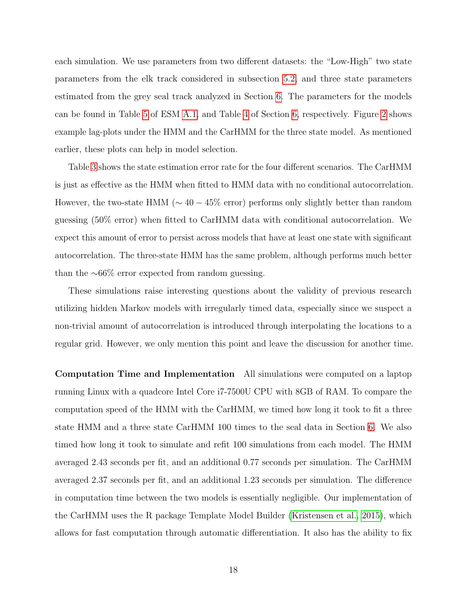each simulation. We use parameters from two different datasets: the "Low-High" two state parameters from the elk track considered in subsection [5.2,](#page-17-1) and three state parameters estimated from the grey seal track analyzed in Section [6.](#page-21-0) The parameters for the models can be found in Table [5](#page-30-0) of ESM [A.1,](#page-29-0) and Table [4](#page-23-0) of Section [6,](#page-21-0) respectively. Figure [2](#page-19-0) shows example lag-plots under the HMM and the CarHMM for the three state model. As mentioned earlier, these plots can help in model selection.

Table [3](#page-19-1) shows the state estimation error rate for the four different scenarios. The CarHMM is just as effective as the HMM when fitted to HMM data with no conditional autocorrelation. However, the two-state HMM ( $\sim 40 - 45\%$  error) performs only slightly better than random guessing (50% error) when fitted to CarHMM data with conditional autocorrelation. We expect this amount of error to persist across models that have at least one state with significant autocorrelation. The three-state HMM has the same problem, although performs much better than the  $~\sim 66\%$  error expected from random guessing.

These simulations raise interesting questions about the validity of previous research utilizing hidden Markov models with irregularly timed data, especially since we suspect a non-trivial amount of autocorrelation is introduced through interpolating the locations to a regular grid. However, we only mention this point and leave the discussion for another time.

Computation Time and Implementation All simulations were computed on a laptop running Linux with a quadcore Intel Core i7-7500U CPU with 8GB of RAM. To compare the computation speed of the HMM with the CarHMM, we timed how long it took to fit a three state HMM and a three state CarHMM 100 times to the seal data in Section [6.](#page-21-0) We also timed how long it took to simulate and refit 100 simulations from each model. The HMM averaged 2.43 seconds per fit, and an additional 0.77 seconds per simulation. The CarHMM averaged 2.37 seconds per fit, and an additional 1.23 seconds per simulation. The difference in computation time between the two models is essentially negligible. Our implementation of the CarHMM uses the R package Template Model Builder [\(Kristensen et al., 2015\)](#page-26-8), which allows for fast computation through automatic differentiation. It also has the ability to fix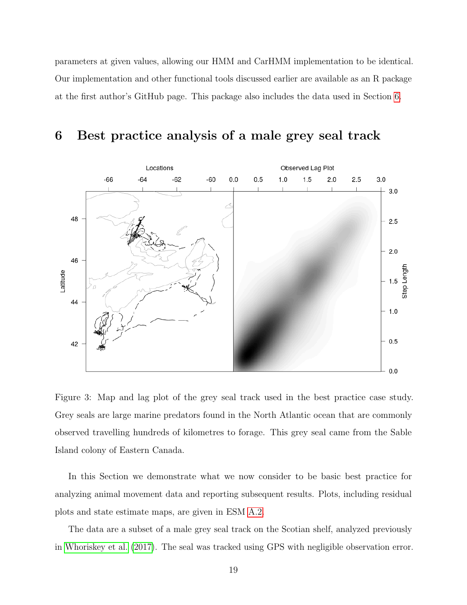parameters at given values, allowing our HMM and CarHMM implementation to be identical. Our implementation and other functional tools discussed earlier are available as an R package at the first author's GitHub page. This package also includes the data used in Section [6.](#page-21-0)



### <span id="page-21-0"></span>6 Best practice analysis of a male grey seal track

<span id="page-21-1"></span>Figure 3: Map and lag plot of the grey seal track used in the best practice case study. Grey seals are large marine predators found in the North Atlantic ocean that are commonly observed travelling hundreds of kilometres to forage. This grey seal came from the Sable Island colony of Eastern Canada.

In this Section we demonstrate what we now consider to be basic best practice for analyzing animal movement data and reporting subsequent results. Plots, including residual plots and state estimate maps, are given in ESM [A.2.](#page-31-0)

The data are a subset of a male grey seal track on the Scotian shelf, analyzed previously in [Whoriskey et al. \(2017\)](#page-28-0). The seal was tracked using GPS with negligible observation error.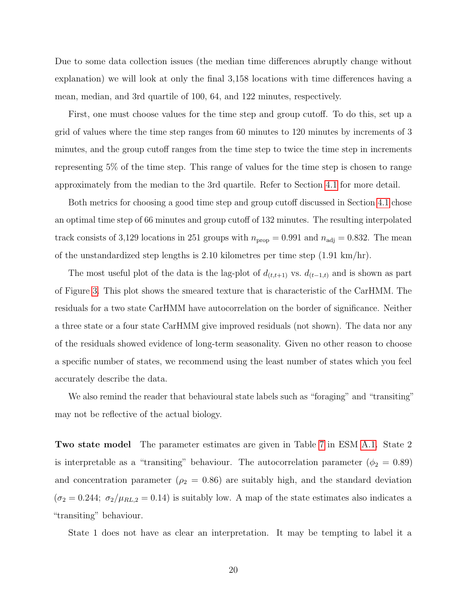Due to some data collection issues (the median time differences abruptly change without explanation) we will look at only the final 3,158 locations with time differences having a mean, median, and 3rd quartile of 100, 64, and 122 minutes, respectively.

First, one must choose values for the time step and group cutoff. To do this, set up a grid of values where the time step ranges from 60 minutes to 120 minutes by increments of 3 minutes, and the group cutoff ranges from the time step to twice the time step in increments representing 5% of the time step. This range of values for the time step is chosen to range approximately from the median to the 3rd quartile. Refer to Section [4.1](#page-10-1) for more detail.

Both metrics for choosing a good time step and group cutoff discussed in Section [4.1](#page-10-1) chose an optimal time step of 66 minutes and group cutoff of 132 minutes. The resulting interpolated track consists of 3,129 locations in 251 groups with  $n_{\text{prop}} = 0.991$  and  $n_{\text{adj}} = 0.832$ . The mean of the unstandardized step lengths is 2.10 kilometres per time step (1.91 km/hr).

The most useful plot of the data is the lag-plot of  $d_{(t,t+1)}$  vs.  $d_{(t-1,t)}$  and is shown as part of Figure [3.](#page-21-1) This plot shows the smeared texture that is characteristic of the CarHMM. The residuals for a two state CarHMM have autocorrelation on the border of significance. Neither a three state or a four state CarHMM give improved residuals (not shown). The data nor any of the residuals showed evidence of long-term seasonality. Given no other reason to choose a specific number of states, we recommend using the least number of states which you feel accurately describe the data.

We also remind the reader that behavioural state labels such as "foraging" and "transiting" may not be reflective of the actual biology.

Two state model The parameter estimates are given in Table [7](#page-30-2) in ESM [A.1.](#page-29-0) State 2 is interpretable as a "transiting" behaviour. The autocorrelation parameter ( $\phi_2 = 0.89$ ) and concentration parameter ( $\rho_2 = 0.86$ ) are suitably high, and the standard deviation  $(\sigma_2 = 0.244; \sigma_2/\mu_{RL,2} = 0.14)$  is suitably low. A map of the state estimates also indicates a "transiting" behaviour.

State 1 does not have as clear an interpretation. It may be tempting to label it a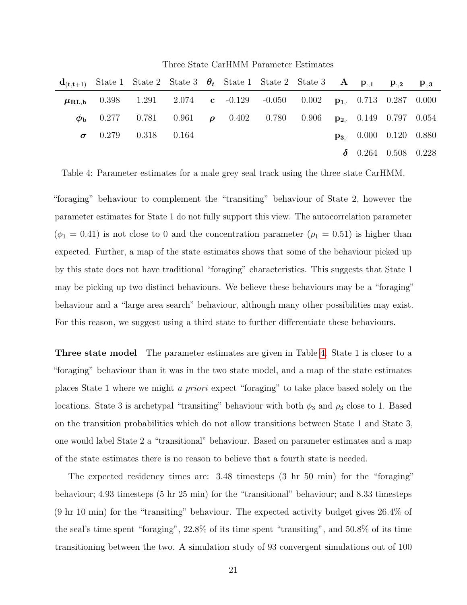Three State CarHMM Parameter Estimates

| $\mathbf{d}_{(\mathbf{t},\mathbf{t}+1)}$ State 1 State 2 State 3 $\theta_t$ State 1 State 2 State 3 $\mathbf{A}$ $\mathbf{p}_{\cdot,1}$ $\mathbf{p}_{\cdot,2}$ $\mathbf{p}_{\cdot,3}$ |  |  |  |  |                                    |  |
|---------------------------------------------------------------------------------------------------------------------------------------------------------------------------------------|--|--|--|--|------------------------------------|--|
| $\mu_{\text{RL},b}$ 0.398 1.291 2.074 c -0.129 -0.050 0.002 p <sub>1</sub> , 0.713 0.287 0.000                                                                                        |  |  |  |  |                                    |  |
| $\phi_{\rm b}$ 0.277 0.781 0.961 $\rho$ 0.402 0.780 0.906 $p_2$ 0.149 0.797 0.054                                                                                                     |  |  |  |  |                                    |  |
| $\sigma$ 0.279 0.318 0.164                                                                                                                                                            |  |  |  |  | $\mathbf{p}_3$ , 0.000 0.120 0.880 |  |
|                                                                                                                                                                                       |  |  |  |  | $\delta$ 0.264 0.508 0.228         |  |

<span id="page-23-0"></span>Table 4: Parameter estimates for a male grey seal track using the three state CarHMM.

"foraging" behaviour to complement the "transiting" behaviour of State 2, however the parameter estimates for State 1 do not fully support this view. The autocorrelation parameter  $(\phi_1 = 0.41)$  is not close to 0 and the concentration parameter  $(\rho_1 = 0.51)$  is higher than expected. Further, a map of the state estimates shows that some of the behaviour picked up by this state does not have traditional "foraging" characteristics. This suggests that State 1 may be picking up two distinct behaviours. We believe these behaviours may be a "foraging" behaviour and a "large area search" behaviour, although many other possibilities may exist. For this reason, we suggest using a third state to further differentiate these behaviours.

Three state model The parameter estimates are given in Table [4.](#page-23-0) State 1 is closer to a "foraging" behaviour than it was in the two state model, and a map of the state estimates places State 1 where we might a priori expect "foraging" to take place based solely on the locations. State 3 is archetypal "transiting" behaviour with both  $\phi_3$  and  $\rho_3$  close to 1. Based on the transition probabilities which do not allow transitions between State 1 and State 3, one would label State 2 a "transitional" behaviour. Based on parameter estimates and a map of the state estimates there is no reason to believe that a fourth state is needed.

The expected residency times are: 3.48 timesteps (3 hr 50 min) for the "foraging" behaviour; 4.93 timesteps (5 hr 25 min) for the "transitional" behaviour; and 8.33 timesteps (9 hr 10 min) for the "transiting" behaviour. The expected activity budget gives 26.4% of the seal's time spent "foraging", 22.8% of its time spent "transiting", and 50.8% of its time transitioning between the two. A simulation study of 93 convergent simulations out of 100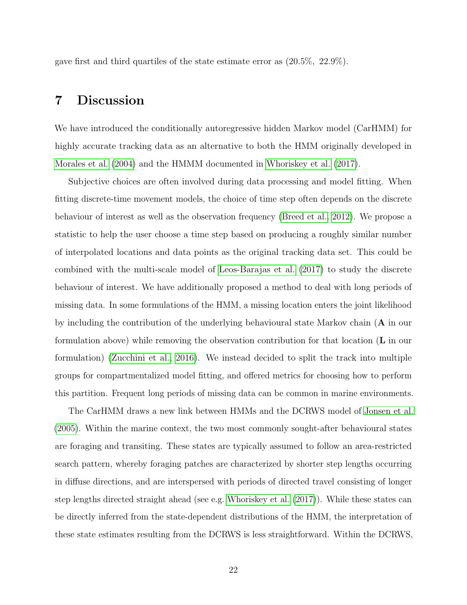gave first and third quartiles of the state estimate error as (20.5%, 22.9%).

### <span id="page-24-0"></span>7 Discussion

We have introduced the conditionally autoregressive hidden Markov model (CarHMM) for highly accurate tracking data as an alternative to both the HMM originally developed in [Morales et al. \(2004\)](#page-27-0) and the HMMM documented in [Whoriskey et al. \(2017\)](#page-28-0).

Subjective choices are often involved during data processing and model fitting. When fitting discrete-time movement models, the choice of time step often depends on the discrete behaviour of interest as well as the observation frequency [\(Breed et al., 2012\)](#page-25-2). We propose a statistic to help the user choose a time step based on producing a roughly similar number of interpolated locations and data points as the original tracking data set. This could be combined with the multi-scale model of [Leos-Barajas et al. \(2017\)](#page-26-5) to study the discrete behaviour of interest. We have additionally proposed a method to deal with long periods of missing data. In some formulations of the HMM, a missing location enters the joint likelihood by including the contribution of the underlying behavioural state Markov chain (A in our formulation above) while removing the observation contribution for that location (L in our formulation) [\(Zucchini et al., 2016\)](#page-28-1). We instead decided to split the track into multiple groups for compartmentalized model fitting, and offered metrics for choosing how to perform this partition. Frequent long periods of missing data can be common in marine environments.

The CarHMM draws a new link between HMMs and the DCRWS model of [Jonsen et al.](#page-26-3) [\(2005\)](#page-26-3). Within the marine context, the two most commonly sought-after behavioural states are foraging and transiting. These states are typically assumed to follow an area-restricted search pattern, whereby foraging patches are characterized by shorter step lengths occurring in diffuse directions, and are interspersed with periods of directed travel consisting of longer step lengths directed straight ahead (see e.g. [Whoriskey et al. \(2017\)](#page-28-0)). While these states can be directly inferred from the state-dependent distributions of the HMM, the interpretation of these state estimates resulting from the DCRWS is less straightforward. Within the DCRWS,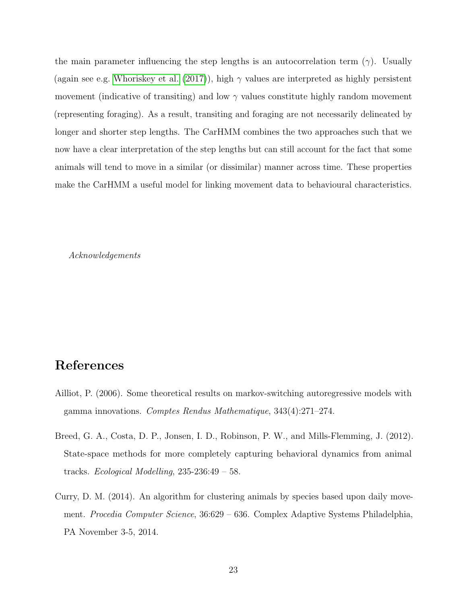the main parameter influencing the step lengths is an autocorrelation term ( $\gamma$ ). Usually (again see e.g. [Whoriskey et al. \(2017\)](#page-28-0)), high  $\gamma$  values are interpreted as highly persistent movement (indicative of transiting) and low  $\gamma$  values constitute highly random movement (representing foraging). As a result, transiting and foraging are not necessarily delineated by longer and shorter step lengths. The CarHMM combines the two approaches such that we now have a clear interpretation of the step lengths but can still account for the fact that some animals will tend to move in a similar (or dissimilar) manner across time. These properties make the CarHMM a useful model for linking movement data to behavioural characteristics.

Acknowledgements

## References

- <span id="page-25-1"></span>Ailliot, P. (2006). Some theoretical results on markov-switching autoregressive models with gamma innovations. Comptes Rendus Mathematique, 343(4):271–274.
- <span id="page-25-2"></span>Breed, G. A., Costa, D. P., Jonsen, I. D., Robinson, P. W., and Mills-Flemming, J. (2012). State-space methods for more completely capturing behavioral dynamics from animal tracks. Ecological Modelling, 235-236:49 – 58.
- <span id="page-25-0"></span>Curry, D. M. (2014). An algorithm for clustering animals by species based upon daily movement. Procedia Computer Science, 36:629 – 636. Complex Adaptive Systems Philadelphia, PA November 3-5, 2014.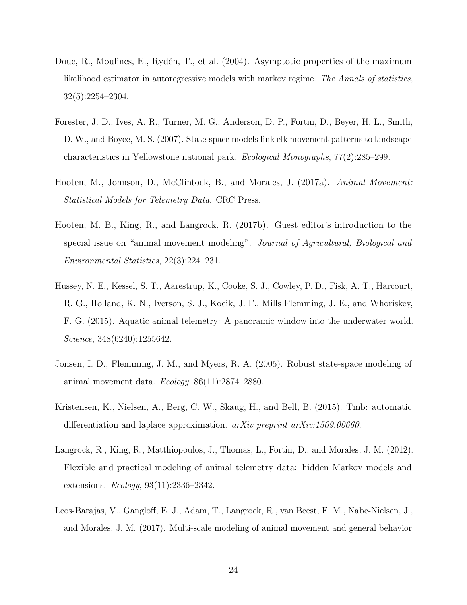- <span id="page-26-7"></span>Douc, R., Moulines, E., Rydén, T., et al. (2004). Asymptotic properties of the maximum likelihood estimator in autoregressive models with markov regime. The Annals of statistics, 32(5):2254–2304.
- <span id="page-26-6"></span>Forester, J. D., Ives, A. R., Turner, M. G., Anderson, D. P., Fortin, D., Beyer, H. L., Smith, D. W., and Boyce, M. S. (2007). State-space models link elk movement patterns to landscape characteristics in Yellowstone national park. Ecological Monographs, 77(2):285–299.
- <span id="page-26-0"></span>Hooten, M., Johnson, D., McClintock, B., and Morales, J. (2017a). Animal Movement: Statistical Models for Telemetry Data. CRC Press.
- <span id="page-26-2"></span>Hooten, M. B., King, R., and Langrock, R. (2017b). Guest editor's introduction to the special issue on "animal movement modeling". Journal of Agricultural, Biological and Environmental Statistics, 22(3):224–231.
- <span id="page-26-1"></span>Hussey, N. E., Kessel, S. T., Aarestrup, K., Cooke, S. J., Cowley, P. D., Fisk, A. T., Harcourt, R. G., Holland, K. N., Iverson, S. J., Kocik, J. F., Mills Flemming, J. E., and Whoriskey, F. G. (2015). Aquatic animal telemetry: A panoramic window into the underwater world. Science, 348(6240):1255642.
- <span id="page-26-3"></span>Jonsen, I. D., Flemming, J. M., and Myers, R. A. (2005). Robust state-space modeling of animal movement data. Ecology, 86(11):2874–2880.
- <span id="page-26-8"></span>Kristensen, K., Nielsen, A., Berg, C. W., Skaug, H., and Bell, B. (2015). Tmb: automatic differentiation and laplace approximation.  $arXiv$  preprint  $arXiv:1509.00660$ .
- <span id="page-26-4"></span>Langrock, R., King, R., Matthiopoulos, J., Thomas, L., Fortin, D., and Morales, J. M. (2012). Flexible and practical modeling of animal telemetry data: hidden Markov models and extensions. Ecology, 93(11):2336–2342.
- <span id="page-26-5"></span>Leos-Barajas, V., Gangloff, E. J., Adam, T., Langrock, R., van Beest, F. M., Nabe-Nielsen, J., and Morales, J. M. (2017). Multi-scale modeling of animal movement and general behavior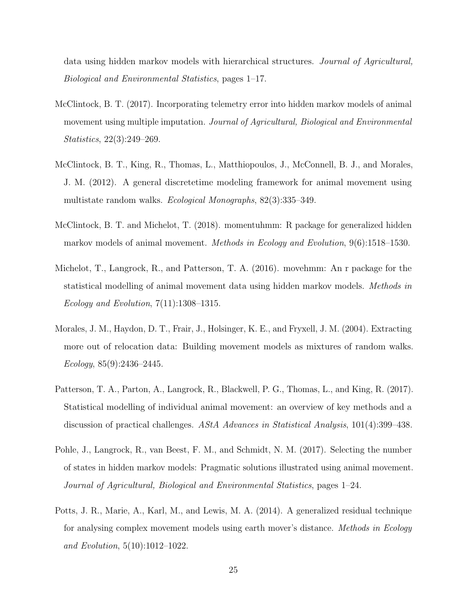data using hidden markov models with hierarchical structures. Journal of Agricultural, Biological and Environmental Statistics, pages 1–17.

- <span id="page-27-5"></span>McClintock, B. T. (2017). Incorporating telemetry error into hidden markov models of animal movement using multiple imputation. Journal of Agricultural, Biological and Environmental Statistics, 22(3):249–269.
- <span id="page-27-1"></span>McClintock, B. T., King, R., Thomas, L., Matthiopoulos, J., McConnell, B. J., and Morales, J. M. (2012). A general discretetime modeling framework for animal movement using multistate random walks. Ecological Monographs, 82(3):335–349.
- <span id="page-27-7"></span>McClintock, B. T. and Michelot, T. (2018). momentuhmm: R package for generalized hidden markov models of animal movement. Methods in Ecology and Evolution, 9(6):1518–1530.
- <span id="page-27-3"></span>Michelot, T., Langrock, R., and Patterson, T. A. (2016). movehmm: An r package for the statistical modelling of animal movement data using hidden markov models. Methods in Ecology and Evolution, 7(11):1308–1315.
- <span id="page-27-0"></span>Morales, J. M., Haydon, D. T., Frair, J., Holsinger, K. E., and Fryxell, J. M. (2004). Extracting more out of relocation data: Building movement models as mixtures of random walks. Ecology, 85(9):2436–2445.
- <span id="page-27-2"></span>Patterson, T. A., Parton, A., Langrock, R., Blackwell, P. G., Thomas, L., and King, R. (2017). Statistical modelling of individual animal movement: an overview of key methods and a discussion of practical challenges. AStA Advances in Statistical Analysis, 101(4):399–438.
- <span id="page-27-4"></span>Pohle, J., Langrock, R., van Beest, F. M., and Schmidt, N. M. (2017). Selecting the number of states in hidden markov models: Pragmatic solutions illustrated using animal movement. Journal of Agricultural, Biological and Environmental Statistics, pages 1–24.
- <span id="page-27-6"></span>Potts, J. R., Marie, A., Karl, M., and Lewis, M. A. (2014). A generalized residual technique for analysing complex movement models using earth mover's distance. *Methods in Ecology* and Evolution, 5(10):1012–1022.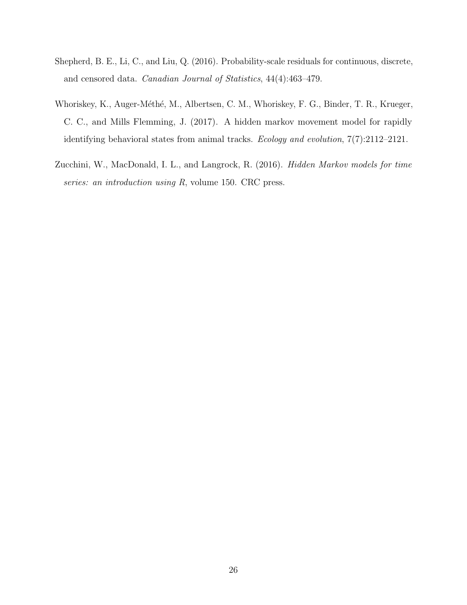- <span id="page-28-2"></span>Shepherd, B. E., Li, C., and Liu, Q. (2016). Probability-scale residuals for continuous, discrete, and censored data. Canadian Journal of Statistics, 44(4):463–479.
- <span id="page-28-0"></span>Whoriskey, K., Auger-Méthé, M., Albertsen, C. M., Whoriskey, F. G., Binder, T. R., Krueger, C. C., and Mills Flemming, J. (2017). A hidden markov movement model for rapidly identifying behavioral states from animal tracks. Ecology and evolution, 7(7):2112–2121.
- <span id="page-28-1"></span>Zucchini, W., MacDonald, I. L., and Langrock, R. (2016). Hidden Markov models for time series: an introduction using R, volume 150. CRC press.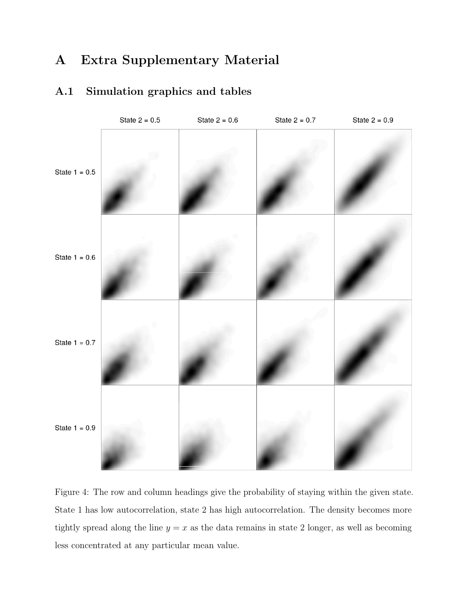## A Extra Supplementary Material



### <span id="page-29-0"></span>A.1 Simulation graphics and tables

<span id="page-29-1"></span>Figure 4: The row and column headings give the probability of staying within the given state. State 1 has low autocorrelation, state 2 has high autocorrelation. The density becomes more tightly spread along the line  $y = x$  as the data remains in state 2 longer, as well as becoming less concentrated at any particular mean value.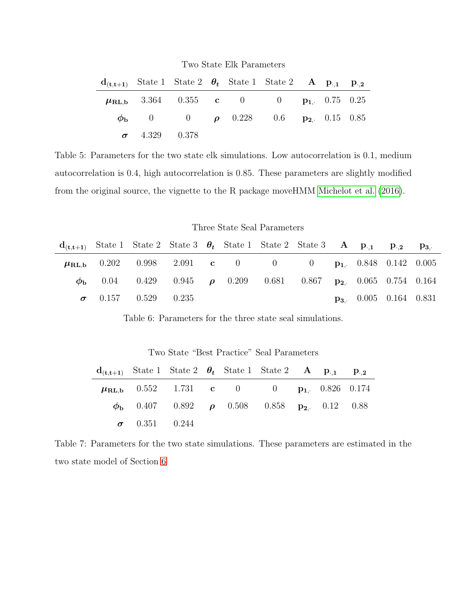Two State Elk Parameters

| $d_{(t,t+1)}$ State 1 State 2 $\theta_t$ State 1 State 2 A $p_{1,1}$ $p_{2,2}$ |                      |  |                                                         |  |  |
|--------------------------------------------------------------------------------|----------------------|--|---------------------------------------------------------|--|--|
|                                                                                |                      |  | $\mu_{\text{RL,b}}$ 3.364 0.355 c 0 0 $p_{1}$ 0.75 0.25 |  |  |
|                                                                                |                      |  | $\phi_{\rm b}$ 0 0 $\rho$ 0.228 0.6 $p_2$ 0.15 0.85     |  |  |
|                                                                                | $\sigma$ 4.329 0.378 |  |                                                         |  |  |

<span id="page-30-0"></span>Table 5: Parameters for the two state elk simulations. Low autocorrelation is 0.1, medium autocorrelation is 0.4, high autocorrelation is 0.85. These parameters are slightly modified from the original source, the vignette to the R package moveHMM [Michelot et al. \(2016\)](#page-27-3).

Three State Seal Parameters

|  |                            |  |  | $d_{(t,t+1)}$ State 1 State 2 State 3 $\theta_t$ State 1 State 2 State 3 A $p_{0,1}$ $p_{0,2}$ $p_{3,1}$ |  |                                    |  |
|--|----------------------------|--|--|----------------------------------------------------------------------------------------------------------|--|------------------------------------|--|
|  |                            |  |  | $\mu_{\text{RL},b}$ 0.202 0.998 2.091 c 0 0 0 p <sub>1</sub> 0.848 0.142 0.005                           |  |                                    |  |
|  |                            |  |  | $\phi_{\rm b}$ 0.04 0.429 0.945 $\rho$ 0.209 0.681 0.867 $p_2$ 0.065 0.754 0.164                         |  |                                    |  |
|  | $\sigma$ 0.157 0.529 0.235 |  |  |                                                                                                          |  | $\mathbf{p}_3$ , 0.005 0.164 0.831 |  |

<span id="page-30-1"></span>Table 6: Parameters for the three state seal simulations.

|                      | $\mathbf{d}_{(\mathbf{t},\mathbf{t}+1)}$ State 1 State 2 $\theta_t$ State 1 State 2 $\mathbf{A}$ $\mathbf{p}_{\cdot,1}$ $\mathbf{p}_{\cdot,2}$ |  |  |  |
|----------------------|------------------------------------------------------------------------------------------------------------------------------------------------|--|--|--|
|                      | $\mu_{\text{RL},b}$ 0.552 1.731 c 0 0 p <sub>1</sub> 0.826 0.174                                                                               |  |  |  |
|                      | $\phi_{\rm b}$ 0.407 0.892 $\rho$ 0.508 0.858 $p_2$ 0.12 0.88                                                                                  |  |  |  |
| $\sigma$ 0.351 0.244 |                                                                                                                                                |  |  |  |

Two State "Best Practice" Seal Parameters

<span id="page-30-2"></span>Table 7: Parameters for the two state simulations. These parameters are estimated in the two state model of Section [6](#page-21-0)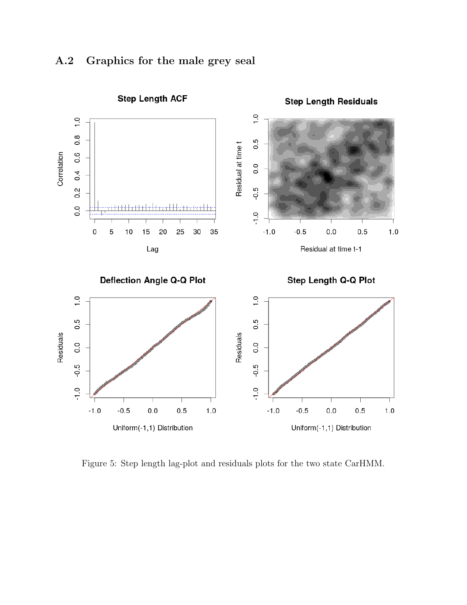<span id="page-31-0"></span>



Figure 5: Step length lag-plot and residuals plots for the two state CarHMM.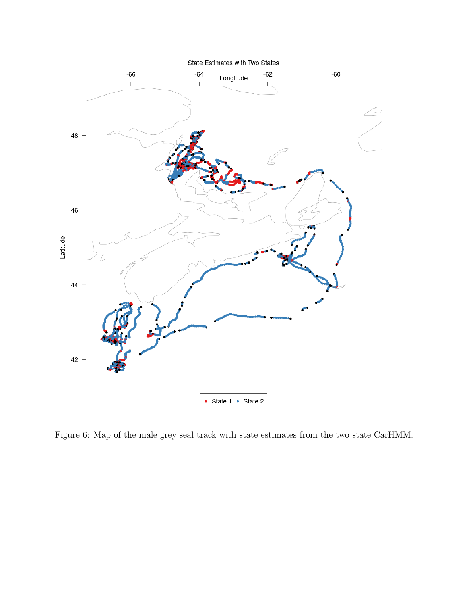

Figure 6: Map of the male grey seal track with state estimates from the two state CarHMM.